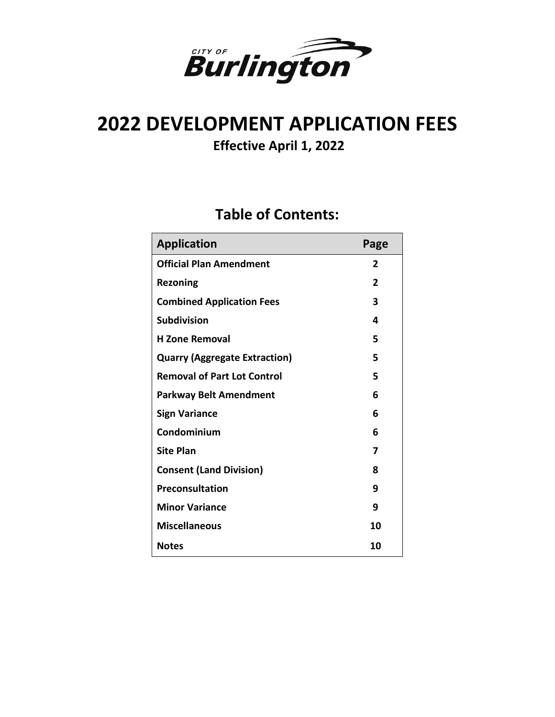

# **2022 DEVELOPMENT APPLICATION FEES**

**Effective April 1, 2022**

## **Table of Contents:**

| <b>Application</b>                   | Page |
|--------------------------------------|------|
| <b>Official Plan Amendment</b>       | 2    |
| <b>Rezoning</b>                      | 2    |
| <b>Combined Application Fees</b>     | 3    |
| <b>Subdivision</b>                   | 4    |
| <b>H</b> Zone Removal                | 5    |
| <b>Quarry (Aggregate Extraction)</b> | 5    |
| <b>Removal of Part Lot Control</b>   | 5    |
| <b>Parkway Belt Amendment</b>        | 6    |
| <b>Sign Variance</b>                 | 6    |
| Condominium                          | 6    |
| <b>Site Plan</b>                     | 7    |
| <b>Consent (Land Division)</b>       | 8    |
| Preconsultation                      | 9    |
| <b>Minor Variance</b>                | 9    |
| <b>Miscellaneous</b>                 | 10   |
| <b>Notes</b>                         | 10   |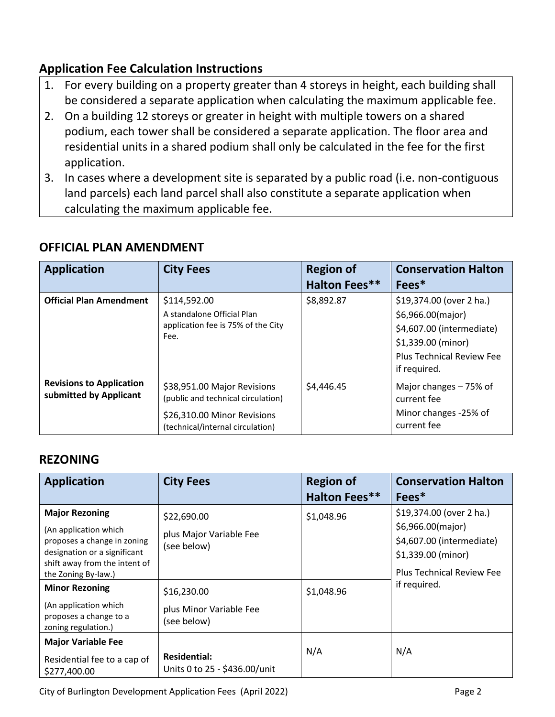### **Application Fee Calculation Instructions**

- 1. For every building on a property greater than 4 storeys in height, each building shall be considered a separate application when calculating the maximum applicable fee.
- 2. On a building 12 storeys or greater in height with multiple towers on a shared podium, each tower shall be considered a separate application. The floor area and residential units in a shared podium shall only be calculated in the fee for the first application.
- 3. In cases where a development site is separated by a public road (i.e. non-contiguous land parcels) each land parcel shall also constitute a separate application when calculating the maximum applicable fee.

| <b>Application</b>                                        | <b>City Fees</b>                                                  | <b>Region of</b>     | <b>Conservation Halton</b>             |
|-----------------------------------------------------------|-------------------------------------------------------------------|----------------------|----------------------------------------|
|                                                           |                                                                   | <b>Halton Fees**</b> | Fees*                                  |
| <b>Official Plan Amendment</b>                            | \$114,592.00                                                      | \$8,892.87           | \$19,374.00 (over 2 ha.)               |
|                                                           | A standalone Official Plan                                        |                      | \$6,966.00(major)                      |
|                                                           | application fee is 75% of the City<br>Fee.                        |                      | \$4,607.00 (intermediate)              |
|                                                           |                                                                   |                      | \$1,339.00 (minor)                     |
|                                                           |                                                                   |                      | <b>Plus Technical Review Fee</b>       |
|                                                           |                                                                   |                      | if required.                           |
| <b>Revisions to Application</b><br>submitted by Applicant | \$38,951.00 Major Revisions<br>(public and technical circulation) | \$4,446.45           | Major changes $-75%$ of<br>current fee |
|                                                           | \$26,310.00 Minor Revisions<br>(technical/internal circulation)   |                      | Minor changes -25% of<br>current fee   |

#### **OFFICIAL PLAN AMENDMENT**

#### **REZONING**

| <b>Application</b>                                                                                                                                                                                                                                                       | <b>City Fees</b>                                                                                               | <b>Region of</b><br><b>Halton Fees**</b> | <b>Conservation Halton</b><br>Fees*                                                                                                                  |
|--------------------------------------------------------------------------------------------------------------------------------------------------------------------------------------------------------------------------------------------------------------------------|----------------------------------------------------------------------------------------------------------------|------------------------------------------|------------------------------------------------------------------------------------------------------------------------------------------------------|
| <b>Major Rezoning</b><br>(An application which<br>proposes a change in zoning<br>designation or a significant<br>shift away from the intent of<br>the Zoning By-law.)<br><b>Minor Rezoning</b><br>(An application which<br>proposes a change to a<br>zoning regulation.) | \$22,690.00<br>plus Major Variable Fee<br>(see below)<br>\$16,230.00<br>plus Minor Variable Fee<br>(see below) | \$1,048.96<br>\$1,048.96                 | \$19,374.00 (over 2 ha.)<br>\$6,966.00(major)<br>\$4,607.00 (intermediate)<br>\$1,339.00 (minor)<br><b>Plus Technical Review Fee</b><br>if required. |
| <b>Major Variable Fee</b><br>Residential fee to a cap of<br>\$277,400.00                                                                                                                                                                                                 | <b>Residential:</b><br>Units 0 to 25 - \$436.00/unit                                                           | N/A                                      | N/A                                                                                                                                                  |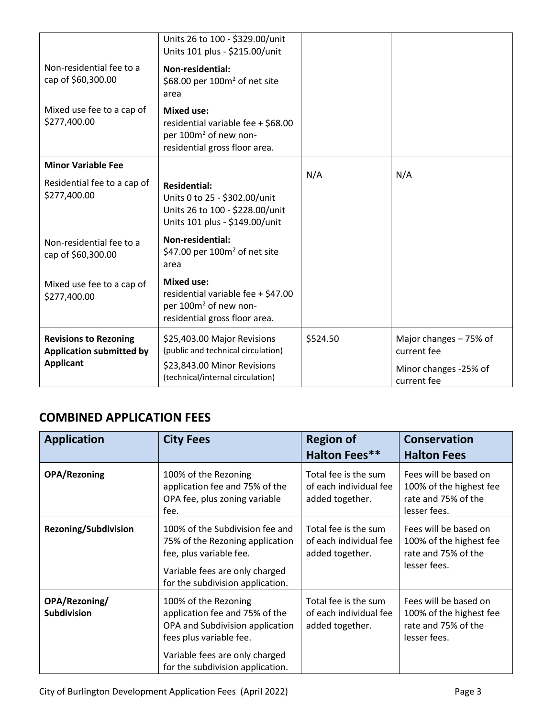|                                                                 | Units 26 to 100 - \$329.00/unit<br>Units 101 plus - \$215.00/unit                                                             |          |                                        |
|-----------------------------------------------------------------|-------------------------------------------------------------------------------------------------------------------------------|----------|----------------------------------------|
| Non-residential fee to a<br>cap of \$60,300.00                  | Non-residential:<br>\$68.00 per $100m^2$ of net site<br>area                                                                  |          |                                        |
| Mixed use fee to a cap of<br>\$277,400.00                       | <b>Mixed use:</b><br>residential variable fee + \$68.00<br>per 100m <sup>2</sup> of new non-<br>residential gross floor area. |          |                                        |
| <b>Minor Variable Fee</b>                                       |                                                                                                                               | N/A      | N/A                                    |
| Residential fee to a cap of<br>\$277,400.00                     | <b>Residential:</b><br>Units 0 to 25 - \$302.00/unit<br>Units 26 to 100 - \$228.00/unit<br>Units 101 plus - \$149.00/unit     |          |                                        |
| Non-residential fee to a<br>cap of \$60,300.00                  | <b>Non-residential:</b><br>\$47.00 per $100m^2$ of net site<br>area                                                           |          |                                        |
| Mixed use fee to a cap of<br>\$277,400.00                       | <b>Mixed use:</b><br>residential variable fee + \$47.00<br>per 100m <sup>2</sup> of new non-<br>residential gross floor area. |          |                                        |
| <b>Revisions to Rezoning</b><br><b>Application submitted by</b> | \$25,403.00 Major Revisions<br>(public and technical circulation)                                                             | \$524.50 | Major changes $-75%$ of<br>current fee |
| <b>Applicant</b>                                                | \$23,843.00 Minor Revisions<br>(technical/internal circulation)                                                               |          | Minor changes -25% of<br>current fee   |

### **COMBINED APPLICATION FEES**

| <b>Application</b>                  | <b>City Fees</b>                                                                                                                                                                           | <b>Region of</b><br><b>Halton Fees**</b>                          | <b>Conservation</b><br><b>Halton Fees</b>                                               |
|-------------------------------------|--------------------------------------------------------------------------------------------------------------------------------------------------------------------------------------------|-------------------------------------------------------------------|-----------------------------------------------------------------------------------------|
| <b>OPA/Rezoning</b>                 | 100% of the Rezoning<br>application fee and 75% of the<br>OPA fee, plus zoning variable<br>fee.                                                                                            | Total fee is the sum<br>of each individual fee<br>added together. | Fees will be based on<br>100% of the highest fee<br>rate and 75% of the<br>lesser fees. |
| <b>Rezoning/Subdivision</b>         | 100% of the Subdivision fee and<br>75% of the Rezoning application<br>fee, plus variable fee.<br>Variable fees are only charged<br>for the subdivision application.                        | Total fee is the sum<br>of each individual fee<br>added together. | Fees will be based on<br>100% of the highest fee<br>rate and 75% of the<br>lesser fees. |
| OPA/Rezoning/<br><b>Subdivision</b> | 100% of the Rezoning<br>application fee and 75% of the<br>OPA and Subdivision application<br>fees plus variable fee.<br>Variable fees are only charged<br>for the subdivision application. | Total fee is the sum<br>of each individual fee<br>added together. | Fees will be based on<br>100% of the highest fee<br>rate and 75% of the<br>lesser fees. |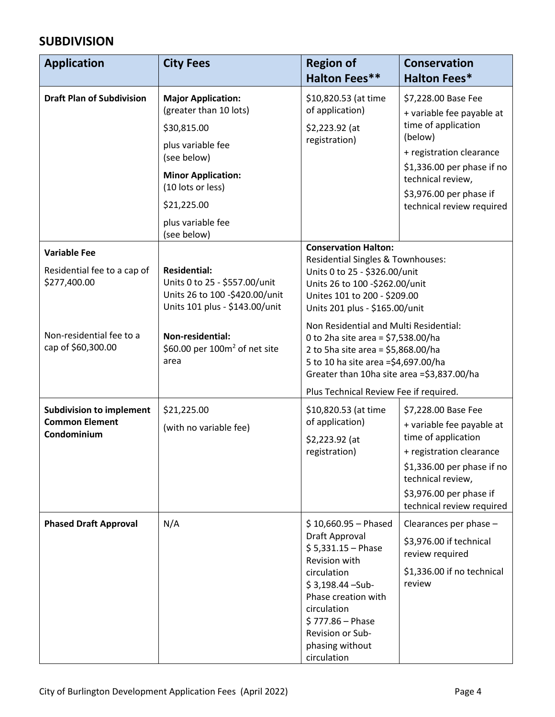#### **SUBDIVISION**

| <b>Application</b>                                                                                                   | <b>City Fees</b>                                                                                                                                                                                            | <b>Region of</b><br><b>Halton Fees**</b>                                                                                                                                                                                                                                                                                                                                                                                                                     | <b>Conservation</b><br><b>Halton Fees*</b>                                                                                                                                                                                |
|----------------------------------------------------------------------------------------------------------------------|-------------------------------------------------------------------------------------------------------------------------------------------------------------------------------------------------------------|--------------------------------------------------------------------------------------------------------------------------------------------------------------------------------------------------------------------------------------------------------------------------------------------------------------------------------------------------------------------------------------------------------------------------------------------------------------|---------------------------------------------------------------------------------------------------------------------------------------------------------------------------------------------------------------------------|
| <b>Draft Plan of Subdivision</b>                                                                                     | <b>Major Application:</b><br>(greater than 10 lots)<br>\$30,815.00<br>plus variable fee<br>(see below)<br><b>Minor Application:</b><br>(10 lots or less)<br>\$21,225.00<br>plus variable fee<br>(see below) | \$10,820.53 (at time<br>of application)<br>\$2,223.92 (at<br>registration)                                                                                                                                                                                                                                                                                                                                                                                   | \$7,228.00 Base Fee<br>+ variable fee payable at<br>time of application<br>(below)<br>+ registration clearance<br>\$1,336.00 per phase if no<br>technical review,<br>\$3,976.00 per phase if<br>technical review required |
| <b>Variable Fee</b><br>Residential fee to a cap of<br>\$277,400.00<br>Non-residential fee to a<br>cap of \$60,300.00 | <b>Residential:</b><br>Units 0 to 25 - \$557.00/unit<br>Units 26 to 100 -\$420.00/unit<br>Units 101 plus - \$143.00/unit<br>Non-residential:<br>\$60.00 per $100m^2$ of net site<br>area                    | <b>Conservation Halton:</b><br>Residential Singles & Townhouses:<br>Units 0 to 25 - \$326.00/unit<br>Units 26 to 100 -\$262.00/unit<br>Unites 101 to 200 - \$209.00<br>Units 201 plus - \$165.00/unit<br>Non Residential and Multi Residential:<br>0 to 2ha site area = $$7,538.00/$ ha<br>2 to 5ha site area = \$5,868.00/ha<br>5 to 10 ha site area =\$4,697.00/ha<br>Greater than 10ha site area =\$3,837.00/ha<br>Plus Technical Review Fee if required. |                                                                                                                                                                                                                           |
| <b>Subdivision to implement</b><br><b>Common Element</b><br>Condominium                                              | \$21,225.00<br>(with no variable fee)                                                                                                                                                                       | \$10,820.53 (at time<br>of application)<br>\$2,223.92 (at<br>registration)                                                                                                                                                                                                                                                                                                                                                                                   | \$7,228.00 Base Fee<br>+ variable fee payable at<br>time of application<br>+ registration clearance<br>\$1,336.00 per phase if no<br>technical review,<br>\$3,976.00 per phase if<br>technical review required            |
| <b>Phased Draft Approval</b>                                                                                         | N/A                                                                                                                                                                                                         | $$10,660.95 - Phased$<br>Draft Approval<br>$$5,331.15 - Phase$<br>Revision with<br>circulation<br>$$3,198.44 - Sub-$<br>Phase creation with<br>circulation<br>$$777.86 - Phase$<br>Revision or Sub-<br>phasing without<br>circulation                                                                                                                                                                                                                        | Clearances per phase $-$<br>\$3,976.00 if technical<br>review required<br>\$1,336.00 if no technical<br>review                                                                                                            |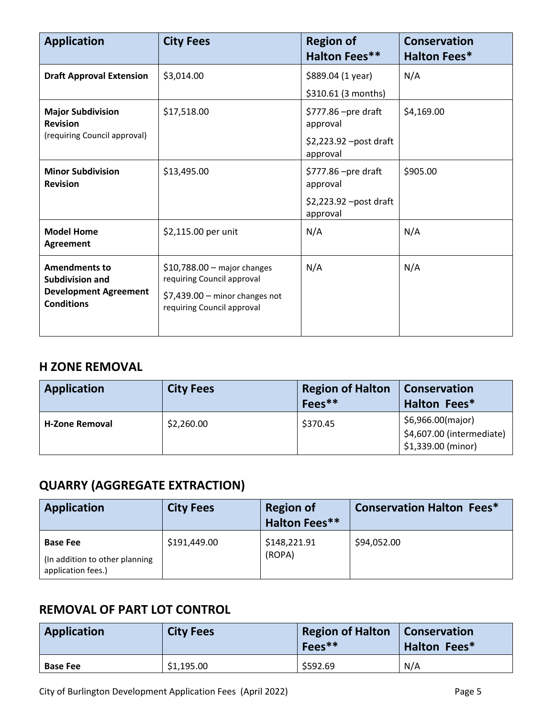| <b>Application</b>                                | <b>City Fees</b>                                              | <b>Region of</b><br><b>Halton Fees**</b> | <b>Conservation</b><br><b>Halton Fees*</b> |
|---------------------------------------------------|---------------------------------------------------------------|------------------------------------------|--------------------------------------------|
| <b>Draft Approval Extension</b>                   | \$3,014.00                                                    | \$889.04 (1 year)<br>\$310.61 (3 months) | N/A                                        |
| <b>Major Subdivision</b><br><b>Revision</b>       | \$17,518.00                                                   | $$777.86$ –pre draft<br>approval         | \$4,169.00                                 |
| (requiring Council approval)                      |                                                               | \$2,223.92 -post draft<br>approval       |                                            |
| <b>Minor Subdivision</b><br><b>Revision</b>       | \$13,495.00                                                   | \$777.86 - pre draft<br>approval         | \$905.00                                   |
|                                                   |                                                               | \$2,223.92 – post draft<br>approval      |                                            |
| <b>Model Home</b><br>Agreement                    | \$2,115.00 per unit                                           | N/A                                      | N/A                                        |
| <b>Amendments to</b><br><b>Subdivision and</b>    | $$10,788.00$ - major changes<br>requiring Council approval    | N/A                                      | N/A                                        |
| <b>Development Agreement</b><br><b>Conditions</b> | $$7,439.00$ - minor changes not<br>requiring Council approval |                                          |                                            |

#### **H ZONE REMOVAL**

| Application           | <b>City Fees</b> | <b>Region of Halton</b><br>$Fees**$ | Conservation<br><b>Halton Fees*</b>                                  |
|-----------------------|------------------|-------------------------------------|----------------------------------------------------------------------|
| <b>H-Zone Removal</b> | \$2,260.00       | \$370.45                            | \$6,966.00(major)<br>\$4,607.00 (intermediate)<br>\$1,339.00 (minor) |

## **QUARRY (AGGREGATE EXTRACTION)**

| <b>Application</b>                                                      | <b>City Fees</b> | <b>Region of</b><br><b>Halton Fees**</b> | <b>Conservation Halton Fees*</b> |
|-------------------------------------------------------------------------|------------------|------------------------------------------|----------------------------------|
| <b>Base Fee</b><br>(In addition to other planning<br>application fees.) | \$191,449.00     | \$148,221.91<br>(ROPA)                   | \$94,052.00                      |

#### **REMOVAL OF PART LOT CONTROL**

| Application     | <b>City Fees</b> | <b>Region of Halton   Conservation</b><br>$Fees**$ | Halton Fees* |
|-----------------|------------------|----------------------------------------------------|--------------|
| <b>Base Fee</b> | \$1,195.00       | \$592.69                                           | N/A          |

City of Burlington Development Application Fees (April 2022) **Page 5** Page 5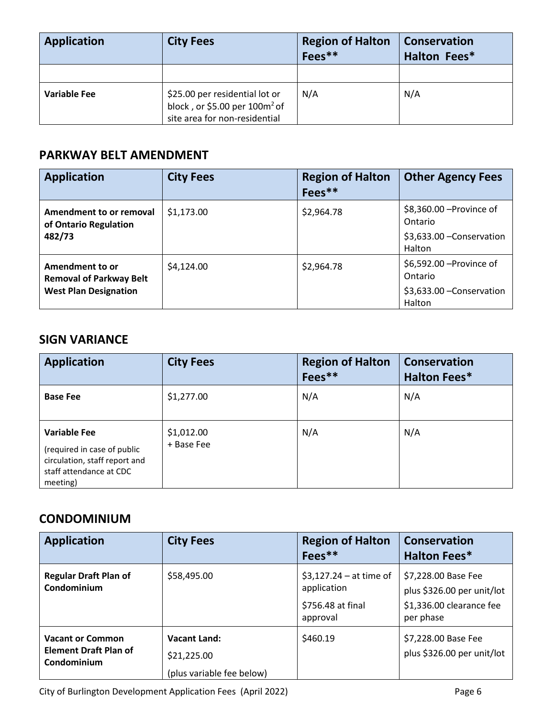| <b>Application</b>  | <b>City Fees</b>                                                                                             | <b>Region of Halton</b><br>Fees** | <b>Conservation</b><br>Halton Fees* |
|---------------------|--------------------------------------------------------------------------------------------------------------|-----------------------------------|-------------------------------------|
|                     |                                                                                                              |                                   |                                     |
| <b>Variable Fee</b> | \$25.00 per residential lot or<br>block, or \$5.00 per 100m <sup>2</sup> of<br>site area for non-residential | N/A                               | N/A                                 |

#### **PARKWAY BELT AMENDMENT**

| <b>Application</b>                                                                | <b>City Fees</b> | <b>Region of Halton</b><br>$Fees**$ | <b>Other Agency Fees</b>                                                   |
|-----------------------------------------------------------------------------------|------------------|-------------------------------------|----------------------------------------------------------------------------|
| Amendment to or removal<br>of Ontario Regulation<br>482/73                        | \$1,173.00       | \$2,964.78                          | \$8,360.00 - Province of<br>Ontario<br>\$3,633.00 - Conservation<br>Halton |
| Amendment to or<br><b>Removal of Parkway Belt</b><br><b>West Plan Designation</b> | \$4,124.00       | \$2,964.78                          | \$6,592.00 - Province of<br>Ontario<br>\$3,633.00 - Conservation<br>Halton |

#### **SIGN VARIANCE**

| <b>Application</b>                                                                                                         | <b>City Fees</b>         | <b>Region of Halton</b><br>Fees** | <b>Conservation</b><br><b>Halton Fees*</b> |
|----------------------------------------------------------------------------------------------------------------------------|--------------------------|-----------------------------------|--------------------------------------------|
| <b>Base Fee</b>                                                                                                            | \$1,277.00               | N/A                               | N/A                                        |
| <b>Variable Fee</b><br>(required in case of public<br>circulation, staff report and<br>staff attendance at CDC<br>meeting) | \$1,012.00<br>+ Base Fee | N/A                               | N/A                                        |

#### **CONDOMINIUM**

| <b>Application</b>                                                     | <b>City Fees</b>                                                | <b>Region of Halton</b><br>$Fees**$                                      | <b>Conservation</b><br><b>Halton Fees*</b>                                                 |
|------------------------------------------------------------------------|-----------------------------------------------------------------|--------------------------------------------------------------------------|--------------------------------------------------------------------------------------------|
| <b>Regular Draft Plan of</b><br>Condominium                            | \$58,495.00                                                     | $$3,127.24 - at time of$<br>application<br>\$756.48 at final<br>approval | \$7,228.00 Base Fee<br>plus \$326.00 per unit/lot<br>\$1,336.00 clearance fee<br>per phase |
| <b>Vacant or Common</b><br><b>Element Draft Plan of</b><br>Condominium | <b>Vacant Land:</b><br>\$21,225.00<br>(plus variable fee below) | \$460.19                                                                 | \$7,228.00 Base Fee<br>plus \$326.00 per unit/lot                                          |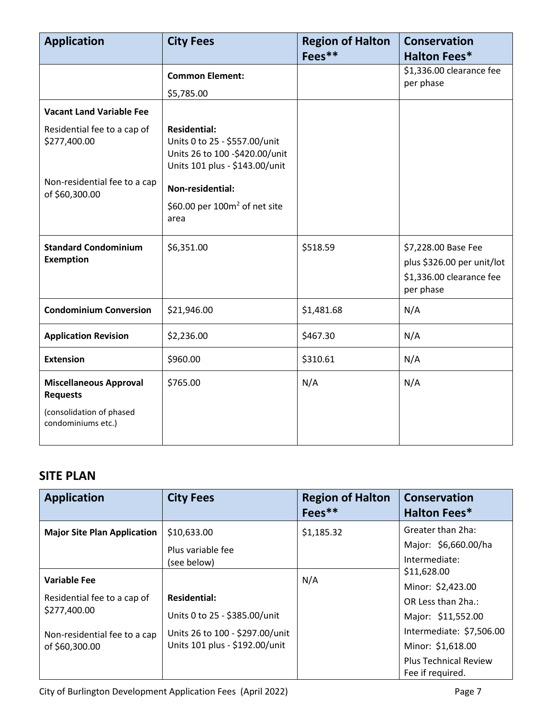| <b>Application</b>                               | <b>City Fees</b>                                                                                                         | <b>Region of Halton</b> | <b>Conservation</b>                                                                        |
|--------------------------------------------------|--------------------------------------------------------------------------------------------------------------------------|-------------------------|--------------------------------------------------------------------------------------------|
|                                                  |                                                                                                                          | Fees**                  | <b>Halton Fees*</b>                                                                        |
|                                                  | <b>Common Element:</b>                                                                                                   |                         | \$1,336.00 clearance fee<br>per phase                                                      |
|                                                  | \$5,785.00                                                                                                               |                         |                                                                                            |
| <b>Vacant Land Variable Fee</b>                  |                                                                                                                          |                         |                                                                                            |
| Residential fee to a cap of<br>\$277,400.00      | <b>Residential:</b><br>Units 0 to 25 - \$557.00/unit<br>Units 26 to 100 -\$420.00/unit<br>Units 101 plus - \$143.00/unit |                         |                                                                                            |
| Non-residential fee to a cap<br>of \$60,300.00   | Non-residential:                                                                                                         |                         |                                                                                            |
|                                                  | \$60.00 per $100m^2$ of net site<br>area                                                                                 |                         |                                                                                            |
| <b>Standard Condominium</b><br><b>Exemption</b>  | \$6,351.00                                                                                                               | \$518.59                | \$7,228.00 Base Fee<br>plus \$326.00 per unit/lot<br>\$1,336.00 clearance fee<br>per phase |
| <b>Condominium Conversion</b>                    | \$21,946.00                                                                                                              | \$1,481.68              | N/A                                                                                        |
| <b>Application Revision</b>                      | \$2,236.00                                                                                                               | \$467.30                | N/A                                                                                        |
| <b>Extension</b>                                 | \$960.00                                                                                                                 | \$310.61                | N/A                                                                                        |
| <b>Miscellaneous Approval</b><br><b>Requests</b> | \$765.00                                                                                                                 | N/A                     | N/A                                                                                        |
| (consolidation of phased<br>condominiums etc.)   |                                                                                                                          |                         |                                                                                            |

#### **SITE PLAN**

| <b>Application</b>                             | <b>City Fees</b>                                                  | <b>Region of Halton</b><br>Fees** | <b>Conservation</b><br><b>Halton Fees*</b>                    |
|------------------------------------------------|-------------------------------------------------------------------|-----------------------------------|---------------------------------------------------------------|
| <b>Major Site Plan Application</b>             | \$10,633.00<br>Plus variable fee                                  | \$1,185.32                        | Greater than 2ha:<br>Major: \$6,660.00/ha                     |
| <b>Variable Fee</b>                            | (see below)                                                       | N/A                               | Intermediate:<br>\$11,628.00                                  |
| Residential fee to a cap of<br>\$277,400.00    | <b>Residential:</b><br>Units 0 to 25 - \$385.00/unit              |                                   | Minor: \$2,423.00<br>OR Less than 2ha.:<br>Major: \$11,552.00 |
| Non-residential fee to a cap<br>of \$60,300.00 | Units 26 to 100 - \$297.00/unit<br>Units 101 plus - \$192.00/unit |                                   | Intermediate: \$7,506.00<br>Minor: \$1,618.00                 |
|                                                |                                                                   |                                   | <b>Plus Technical Review</b><br>Fee if required.              |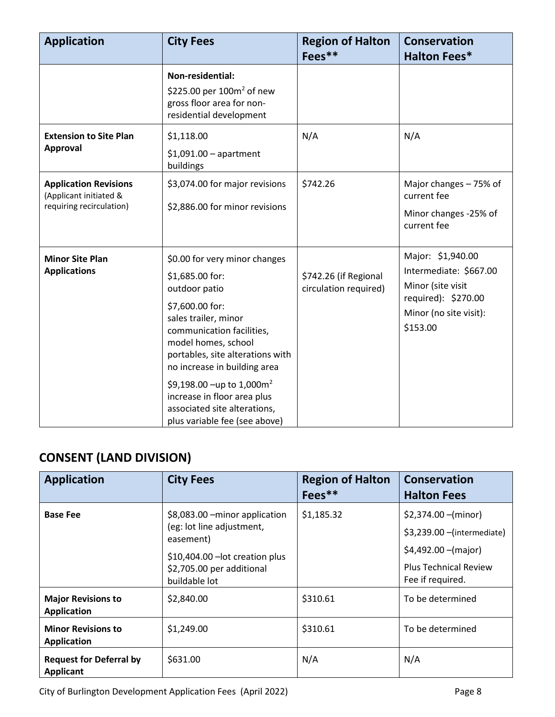| <b>Application</b>                                                                 | <b>City Fees</b>                                                                                                                                                                                                                                                                                                                                                              | <b>Region of Halton</b><br>Fees**              | <b>Conservation</b><br><b>Halton Fees*</b>                                                                                    |
|------------------------------------------------------------------------------------|-------------------------------------------------------------------------------------------------------------------------------------------------------------------------------------------------------------------------------------------------------------------------------------------------------------------------------------------------------------------------------|------------------------------------------------|-------------------------------------------------------------------------------------------------------------------------------|
|                                                                                    | Non-residential:<br>\$225.00 per $100m^2$ of new<br>gross floor area for non-<br>residential development                                                                                                                                                                                                                                                                      |                                                |                                                                                                                               |
| <b>Extension to Site Plan</b><br><b>Approval</b>                                   | \$1,118.00<br>$$1,091.00$ - apartment<br>buildings                                                                                                                                                                                                                                                                                                                            | N/A                                            | N/A                                                                                                                           |
| <b>Application Revisions</b><br>(Applicant initiated &<br>requiring recirculation) | \$3,074.00 for major revisions<br>\$2,886.00 for minor revisions                                                                                                                                                                                                                                                                                                              | \$742.26                                       | Major changes - 75% of<br>current fee<br>Minor changes -25% of<br>current fee                                                 |
| <b>Minor Site Plan</b><br><b>Applications</b>                                      | \$0.00 for very minor changes<br>\$1,685.00 for:<br>outdoor patio<br>\$7,600.00 for:<br>sales trailer, minor<br>communication facilities,<br>model homes, school<br>portables, site alterations with<br>no increase in building area<br>\$9,198.00 -up to 1,000m <sup>2</sup><br>increase in floor area plus<br>associated site alterations,<br>plus variable fee (see above) | \$742.26 (if Regional<br>circulation required) | Major: \$1,940.00<br>Intermediate: \$667.00<br>Minor (site visit<br>required): \$270.00<br>Minor (no site visit):<br>\$153.00 |

## **CONSENT (LAND DIVISION)**

| <b>Application</b>                                 | <b>City Fees</b>                                                                                                                                          | <b>Region of Halton</b><br>$Fees**$ | Conservation<br><b>Halton Fees</b>                                                                                               |
|----------------------------------------------------|-----------------------------------------------------------------------------------------------------------------------------------------------------------|-------------------------------------|----------------------------------------------------------------------------------------------------------------------------------|
| <b>Base Fee</b>                                    | \$8,083.00 - minor application<br>(eg: lot line adjustment,<br>easement)<br>\$10,404.00 - lot creation plus<br>\$2,705.00 per additional<br>buildable lot | \$1,185.32                          | $$2,374.00$ –(minor)<br>\$3,239.00 - (intermediate)<br>$$4,492.00 - (major)$<br><b>Plus Technical Review</b><br>Fee if required. |
| <b>Major Revisions to</b><br><b>Application</b>    | \$2,840.00                                                                                                                                                | \$310.61                            | To be determined                                                                                                                 |
| <b>Minor Revisions to</b><br><b>Application</b>    | \$1,249.00                                                                                                                                                | \$310.61                            | To be determined                                                                                                                 |
| <b>Request for Deferral by</b><br><b>Applicant</b> | \$631.00                                                                                                                                                  | N/A                                 | N/A                                                                                                                              |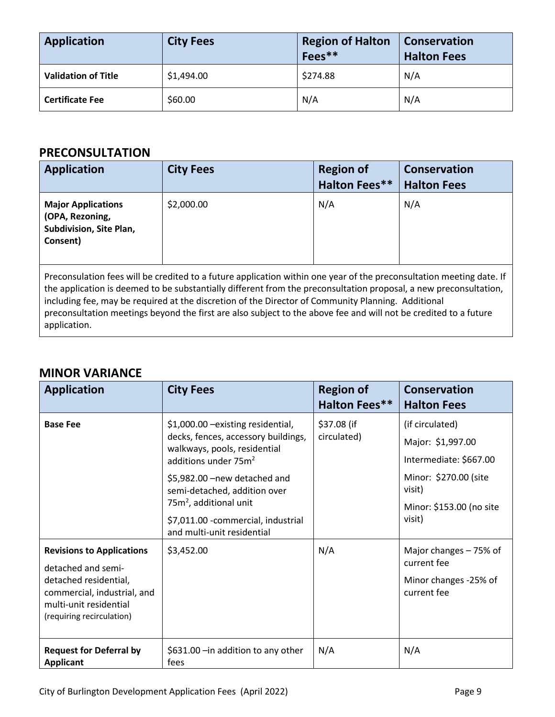| <b>Application</b>         | <b>City Fees</b> | <b>Region of Halton</b><br>Fees** | Conservation<br><b>Halton Fees</b> |
|----------------------------|------------------|-----------------------------------|------------------------------------|
| <b>Validation of Title</b> | \$1,494.00       | \$274.88                          | N/A                                |
| <b>Certificate Fee</b>     | \$60.00          | N/A                               | N/A                                |

#### **PRECONSULTATION**

| <b>Application</b>                                                                                                                                                                                                                                                                                                                                                                                                                                                                  | <b>City Fees</b> | <b>Region of</b><br><b>Halton Fees**</b> | <b>Conservation</b><br><b>Halton Fees</b> |
|-------------------------------------------------------------------------------------------------------------------------------------------------------------------------------------------------------------------------------------------------------------------------------------------------------------------------------------------------------------------------------------------------------------------------------------------------------------------------------------|------------------|------------------------------------------|-------------------------------------------|
| <b>Major Applications</b><br>(OPA, Rezoning,<br>Subdivision, Site Plan,<br>Consent)                                                                                                                                                                                                                                                                                                                                                                                                 | \$2,000.00       | N/A                                      | N/A                                       |
| Preconsulation fees will be credited to a future application within one year of the preconsultation meeting date. If<br>the application is deemed to be substantially different from the preconsultation proposal, a new preconsultation,<br>including fee, may be required at the discretion of the Director of Community Planning. Additional<br>preconsultation meetings beyond the first are also subject to the above fee and will not be credited to a future<br>application. |                  |                                          |                                           |

#### **MINOR VARIANCE**

| <b>Application</b>                                                                                                                                                    | <b>City Fees</b>                                                                                                                                                                                                                                                                                                         | <b>Region of</b><br><b>Halton Fees**</b> | <b>Conservation</b><br><b>Halton Fees</b>                                                                                               |
|-----------------------------------------------------------------------------------------------------------------------------------------------------------------------|--------------------------------------------------------------------------------------------------------------------------------------------------------------------------------------------------------------------------------------------------------------------------------------------------------------------------|------------------------------------------|-----------------------------------------------------------------------------------------------------------------------------------------|
| <b>Base Fee</b>                                                                                                                                                       | \$1,000.00 -existing residential,<br>decks, fences, accessory buildings,<br>walkways, pools, residential<br>additions under 75m <sup>2</sup><br>\$5,982.00 - new detached and<br>semi-detached, addition over<br>75m <sup>2</sup> , additional unit<br>\$7,011.00 - commercial, industrial<br>and multi-unit residential | \$37.08 (if<br>circulated)               | (if circulated)<br>Major: \$1,997.00<br>Intermediate: \$667.00<br>Minor: \$270.00 (site<br>visit)<br>Minor: \$153.00 (no site<br>visit) |
| <b>Revisions to Applications</b><br>detached and semi-<br>detached residential,<br>commercial, industrial, and<br>multi-unit residential<br>(requiring recirculation) | \$3,452.00                                                                                                                                                                                                                                                                                                               | N/A                                      | Major changes - 75% of<br>current fee<br>Minor changes -25% of<br>current fee                                                           |
| <b>Request for Deferral by</b><br><b>Applicant</b>                                                                                                                    | \$631.00 - in addition to any other<br>fees                                                                                                                                                                                                                                                                              | N/A                                      | N/A                                                                                                                                     |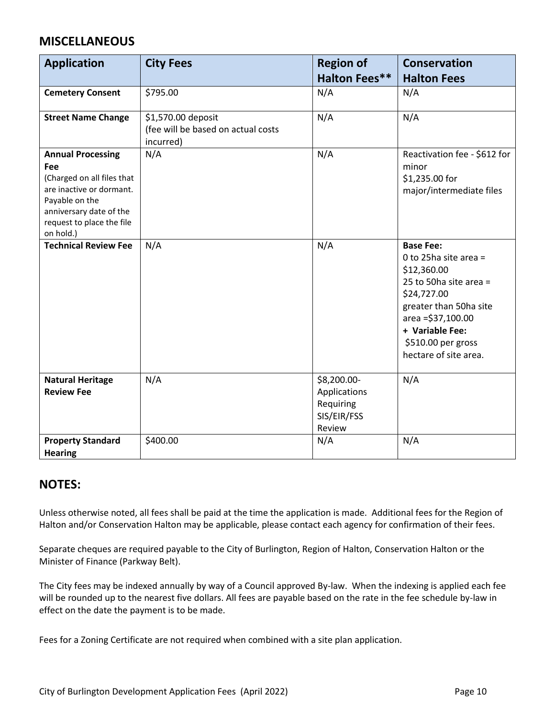#### **MISCELLANEOUS**

| <b>Application</b>                                                                                                                                                               | <b>City Fees</b>                                                      | <b>Region of</b><br><b>Halton Fees**</b>                          | <b>Conservation</b><br><b>Halton Fees</b>                                                                                                                                                                           |
|----------------------------------------------------------------------------------------------------------------------------------------------------------------------------------|-----------------------------------------------------------------------|-------------------------------------------------------------------|---------------------------------------------------------------------------------------------------------------------------------------------------------------------------------------------------------------------|
| <b>Cemetery Consent</b>                                                                                                                                                          | \$795.00                                                              | N/A                                                               | N/A                                                                                                                                                                                                                 |
| <b>Street Name Change</b>                                                                                                                                                        | \$1,570.00 deposit<br>(fee will be based on actual costs<br>incurred) | N/A                                                               | N/A                                                                                                                                                                                                                 |
| <b>Annual Processing</b><br>Fee<br>(Charged on all files that<br>are inactive or dormant.<br>Payable on the<br>anniversary date of the<br>request to place the file<br>on hold.) | N/A                                                                   | N/A                                                               | Reactivation fee - \$612 for<br>minor<br>\$1,235.00 for<br>major/intermediate files                                                                                                                                 |
| <b>Technical Review Fee</b>                                                                                                                                                      | N/A                                                                   | N/A                                                               | <b>Base Fee:</b><br>0 to 25ha site area =<br>\$12,360.00<br>25 to 50ha site area =<br>\$24,727.00<br>greater than 50ha site<br>area = \$37,100.00<br>+ Variable Fee:<br>\$510.00 per gross<br>hectare of site area. |
| <b>Natural Heritage</b><br><b>Review Fee</b>                                                                                                                                     | N/A                                                                   | \$8,200.00-<br>Applications<br>Requiring<br>SIS/EIR/FSS<br>Review | N/A                                                                                                                                                                                                                 |
| <b>Property Standard</b><br><b>Hearing</b>                                                                                                                                       | \$400.00                                                              | N/A                                                               | N/A                                                                                                                                                                                                                 |

#### **NOTES:**

Unless otherwise noted, all fees shall be paid at the time the application is made. Additional fees for the Region of Halton and/or Conservation Halton may be applicable, please contact each agency for confirmation of their fees.

Separate cheques are required payable to the City of Burlington, Region of Halton, Conservation Halton or the Minister of Finance (Parkway Belt).

The City fees may be indexed annually by way of a Council approved By-law. When the indexing is applied each fee will be rounded up to the nearest five dollars. All fees are payable based on the rate in the fee schedule by-law in effect on the date the payment is to be made.

Fees for a Zoning Certificate are not required when combined with a site plan application.